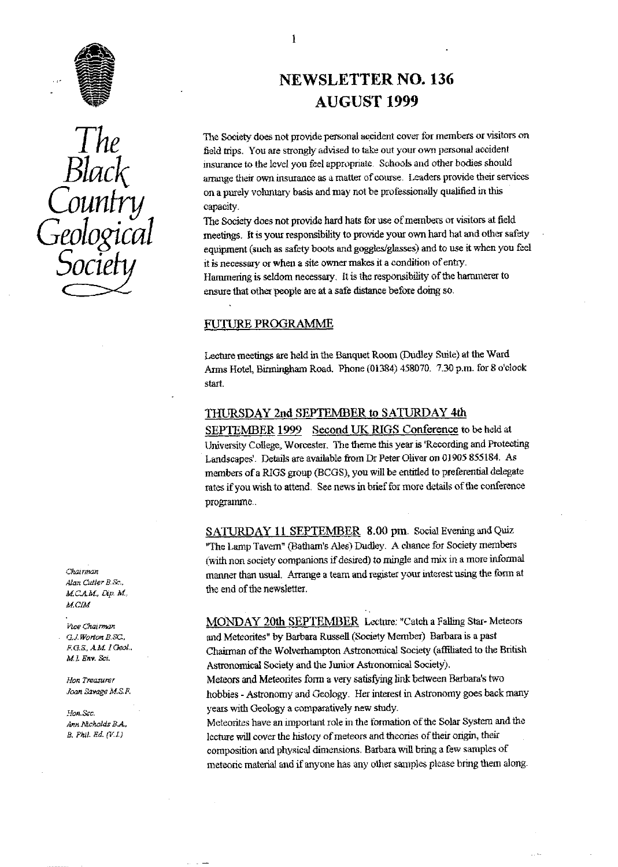



Chairman A)an *Cutler B.Sr.. M.C.A.M., Dip. M.,* M.

Vice Chairman *M. ^ Eay . Sci*

*Joan Bavage M.S.I*<br>Joan Bavage M.S.I

# **NEWSLETTER** NO. 136 AUGUST 1999

The Society does not provide personal accident cover for members or visitors on field trips. You are strongly advised to take out your own personal accident **BLACK** insurance to the level you feel appropriate. Schools and other bodies should<br>arrange their own insurance as a matter of course. Leaders provide their services on a purely voluntary basis and may not be professionally qualified in this capacity.

^^ .^^^ The Society does not **provide** hard hats for use **of members** or visitors at field meetings. It is your responsibility to provide your own hard hat and other safety . equipment (such as safety boots and goggles/glasses) and to use it *when you* feel **SOCLETY** it is necessary or when a site owner makes it a condition of entry.<br>Hammering is seldom necessary. It is the responsibility of the hammerer to ensure that other people are at a safe distance before doing so.

### FUTURE PROGRAMME

Lecture meetings are held in the Banquet Room (Dudley Suite) at the Ward Arms Hotel, Birmingham Road. Phone (01384) 458070. 7.30 p.m. for 8 o'clock start.

#### THURSDAY 2nd SEPTEMBER to **SATURDAY** 4th

SEPTEMBER 1999 Second UK RIGS Conference to be held at University College, Worcester. The theme this year is 'Recording and Protecting Landscapes'. Details are available from Dr Peter Oliver on 01905 855184. As members of a RIGS group (BCGS), you will be entitled to preferential delegate rates if you wish to attend. See news in brief for more details of the conference programme..

SATURDAY 11 SEPTEMBER 8.00 pm Social Evening and Quiz "The Lamp Tavern" (Batham's Ales.) Dudley. A chance for Society members (with non society companions if desired) to mingle and mix in a more informal manner than usual. Arrange a team and register **your** interest using the form at the end of the newsletter.

MONDAY 20th SEPTEMBER Lecture: "Catch a Falling Star- Meteors G.J. Worton B.SC., **and Meteorites" by Barbara Russell (Society Member)** Barbara is a past **F.G.S., A.M. I Geol.**<br>Chairman of the Wolverhampton Astronomical Society (affiliated to the *Chairman of the Wolverhampton Astronomical Society (affiliated to the British* Astronomical Society and the Junior Astronomical Society).

*lion Treasurer lips, Treasurer lips, Meteors and Meteorites form a very satisfying link between Barbara's two* hobbies - Astronomy and Geology. Her interest in Astronomy goes back many 50A Sec. years with Geology a comparatively new study.

*Arm Mcholds B.A.*, Meteorites have an important role in the formation of the Solar System and the B. Phil. Ed. (V.I.) lecture will cover the history of meteors and theories of their origin, their *lecture will cover the history of meteors and theories of their origin, their* composition and physical dimensions. Barbara will bring a few samples of meteoric material and if anyone has any other samples please bring them along.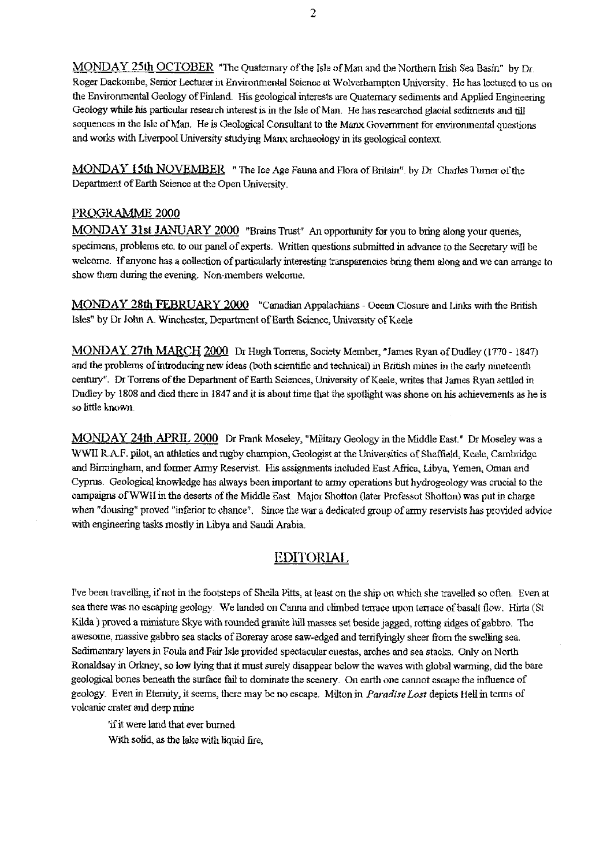MONDAY 25th OCTOBER "The Quaternary of the Isle of Man and the Northern Irish Sea Basin" by Dr. Roger Dackombe, Senior Lecturer in Environmental Science at Wolverhampton University. He has lectured to us on the Environmental Geology of Finland. His geological interests are Quaternary sediments and Applied Engineering Geology while his particular research interest is in the Isle of Man. He has researched glacial sediments and till sequences in the Isle of Man. He is Geological Consultant to the Manx Government for environmental questions and works with Liverpool University studying Manx archaeology in its geological context.

MONDAY 15th NOVEMBER " The Ice Age Fauna and Flora of Britain". by Dr Charles Turner of the Department of Earth Science at the Open University.

#### PROGRAMME 2000

MONDAY 31st JANUARY 2000 "Brains Trust" An opportunity for you to bring along your queries,  $s$  pecimens, problems etc. to our panel of experts. Written questions submitted in advance to the Secretary will be welcome. If anyone has a collection of particularly interesting transparencies bring them along and we can arrange to show them during the evening. Non-members welcome.

MONDAY 28th FEBRUARY 2000 "Canadian Appalachians - Ocean Closure and Links with the British Isles" by Dr John A. Winchester, Department of Earth Science, University of Keele

MONDAY 27th MARCH 2000 Dr Hugh Torrens, Society Member, "James Ryan of Dudley (1770 - 1847) and the problems of introducing new ideas (both scientific and technical) in British mines in the early nineteenth century". Dr Torrens of the Department of Earth Sciences, University of Keele, writes that James Ryan settled in Dudley by 1808 and died there in 1847 and it is about time that the spotlight was shone on his achievements as he is *so little known.*

MONDAY 24th APRIL 2000 Dr Frank Moseley, "Military Geology in the Middle East." Dr Moseley was a WWII R.A.F. pilot, an athletics and rugby champion, Geologist at the Universities of Sheffield, Keele, Cambridge and Birmingham, and former Army Reser<sup>v</sup> ist. His assignments included East Africa, Libya, Yemen, Oman and Cyprus. Geological knowledge has always been important to army operations but hydrogeology was crucial to the campaigns of WWII in the deserts of the Middle East. Major Shotton (later Professot Shotton) was put in charge when "dousing' proved "inferior to chance". Since the war a dedicated group of army reservists has provided advice with engineering tasks mostly in Libya and Saudi Arabia.

# EDITORIAL

I've been travelling, if not in the footsteps of Sheila Pitts, at least on the *ship on* which she travelled so often. Even at sea there *was* no escaping geology. We landed on Canna and climbed terrace upon terrace of basalt flow. Hirta (St Kilda) proved a miniature Skye with rounded granite hill masses set beside jagged, rotting ridges of gabbro. The awesome, massive gabbro sea stacks of Boreray arose saw-edged and terrifyingly sheer from the swelling sea. Sedimentary layers in Foula and Fair Isle provided spectacular *cuestas, arches* and sea stacks. Only on North Aonaldsay in Orkney, so low lying that it **must** surely disappear below the waves with global warming, did *the* bare geological bones beneath the surface fail to dominate the scenery. On earth one cannot escape the influence of geology. Even in Eternity, it seems, there may be no escape. Milton in *Paradise Lost* depicts Hell in terms of volcanic crater and deep mine

'if it were land that ever burned With solid, as the lake with liquid fire,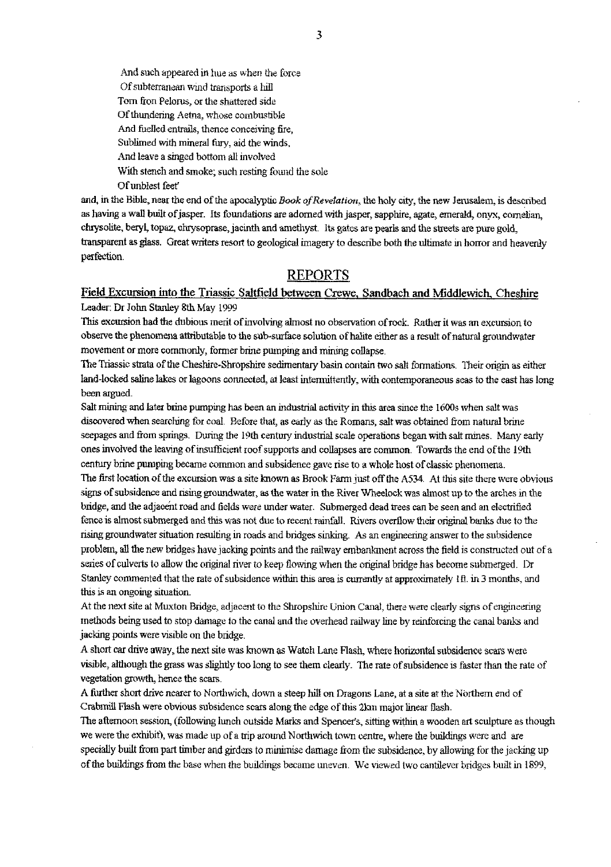And such appeared in hue as when the force Of subterranean wind transports a hill Tom fron Pelorus, or the shattered side Of thundering Aetna, whose combustible And *fuelled entrails,* thence conceiving fire, Sublimed with mineral fury; aid the winds, And leave a singed bottom all involved With stench and smoke; such resting found the sole Of unblest feet'

and, in the Bible, near the end of the apocalyptic *Book ofRevelation,* the holy city, the new Ierusalem, is described as having a wall built of jasper. Its foundations *are adorned with jasper, sapphire,* agate, emerald, onyx, comelian, chrysolite, beryl, topaz, cluysoprase, jacinth and amethyst. Its gates are pearls and the streets are pure gold, transparent as glass. Great writers resort to geological imagery to describe both the *ultimate* in horror and heavenly perfection.

## **REPORTS**

#### Field Excursion into the Triassic Saltfield between Crewe, Sandbach and Middlewich, Cheshire Leader: Dr John Stanley 8th May 1999

*This excursion* had the dubious merit of involving almost no observation of rock. Rather it was an excursion to observe the phenomena attributable to the sub-surface solution of halite either as a result of natural groundwater movement or more commonly, former brine pumping and mining collapse.

The Triassic strata of the *Cheshire-Shropshire* sedimentary basin contain two salt formations. Their origin as either land-locked saline lakes or lagoons connected, at *least* intermittently, with contemporaneous seas to the east has long been argued.

Salt mining and later brine pumping has been an industrial activity in this area since the 1600s when salt was discovered when searching for coal. Before that as *early as the* Romans, salt was obtained from natural brine seepages and from springs. During the 19th century industrial scale operations began with salt mines. Many early ones involved the leaving of insufficient roof supports and collapses are common. Towards the end of the 19th century brine pumping became common and subsidence gave rise to a *whole* host of classic phenomena.

The first location of the excursion was a site known as Brook Farm just off the A534. At this site there were obvious **signs** of subsidence and rising groundwater, as the water in the River Wheelock was almost up to the arches in the bridge, and the adjacent road and fields were under water. Submerged dead trees can be seen and an electrified *fence is* almost submerged and this was not due to recent rainfall. Rivers overflow their original banks due to the rising groundwater situation resulting in roads and bridges sinking. As an engineering answer to the subsidence problem, all the new bridges have jacking points and the railway embankment across the field is consructed out of a series of culverts to allow the original river to keep flowing when the original bridge has become submerged. Dr Stanley commented that the rate of subsidence within this area is currently at approximately Ill, in 3 months, and this is an ongoing situation.

At the next site at Muxton Bridge, adjacent to the Shropshire Union Canal, there were clearly signs of engineering methods being used to stop damage to the canal and the overhead railway line by reinforcing *the canal* banks and jacking points were visible on the bridge.

A short car drive away, the next site was known as Watch Lane Flash, where horizontal subsidence scars were visible, although the grass was slightly too long to see them clearly\_ The rate of subsidence is faster than the rate of vegetation growth, hence the scars.

A. further short drive nearer to Northwich, down a steep hill on Dragons Lane, at a site at the Northern end of Crabmill Flash were obvious subsidence scars along the edge of this 2km major linear flash.

The afternoon session., (following lunch outside Marks and Spencer's, sitting within a wooden art sculpture as though we were the exhibit), was made up of a trip around Northwich town *centre, where the buildings were and* are specially built from part timber and girders to minimise damage from the subsidence, by allowing for the jacking up of the buildings from the base when the buildings became uneven. We viewed two cantilever bridges built in 1899,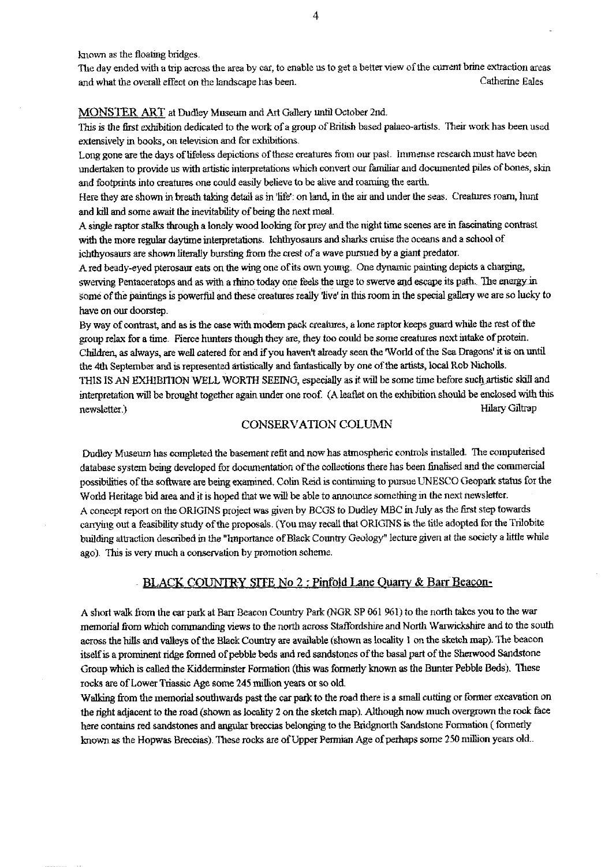known as the floating bridges.

The day ended with a trip across the area by car, to enable us to get a *better view of the current* brine extraction areas and what *the overall effect on* the landscape has been. Catherine Eales

#### MONSTER ART at Dudley Museum and Art Gallery until October 2nd.

This is the first exhibition dedicated to the work of a group of British based palaeo-artists. Their work has been used extensively in books, on television and for exhibitions.

Long gone are the days of lifeless depictions of these creatures from our past. Immense research must have been undertaken to provide us with artistic interpretations which convert our familiar and documented piles of bones, skin and footprints into creatures one could easily believe to *be alive and roaming the* earth.

Here they are shown *in breath taking* detail as in life': on land, in the air and under the seas. Creatures roam, hunt and kill and some await the inevitability of being the next meal.

A single raptor stalks through a lonely wood looking for prey and the night time scenes are in fascinating contrast with the more regular daytime interpretations. Ichthyosaurs and sharks cruise the oceans and a school of ichthyosaurs are shown literally bursting from *the crest of* a wave pursued by a giant predator.

A red beady-eyed pterosaur eats on the wing one of its own young. One dynamic painting depicts a charging, swerving Pentaceratops and as with a rhino today one feels the urge to swerve and escape its path.. The energy in tome of the paintings is powerful and these creatures really *live'* in this, room in the special gallery we are so lucky to have on our doorstep.

By way of contrast, and as is the case with modem pack creatures, a lone raptor keeps guard while the rest of the group relax for a time Fierce hunters though they are, they too could be some creatures next intake of protein. Children, as always, are well catered for and if you haven't already seen the *World* of the Sea Dragons' it is on until the 4th September and is represented artistically and fantastically by one of the artists, local Rob Nicholls.

THIS IS AN EXHIBITION WELL WORTH SEEING, especially as it will be some time before such artistic skill and interpretation will be brought together again under one *roof. (A leaflet* on the exhibition should be enclosed with this newsletter.) *Hilary* Giltrap

#### CONSERVATION COLUMN

Dudley Museum has completed the basement refit and now has atmospheric controls installed. The computerised database system being developed for documentation of the collections there has been finalised and the commercial possibilities of the software are being examined, Colin Reid is continuing to pursue UNESCO Geopark status for the World Heritage bid area and it is hoped that we will be able to announce something in the next newsletter. A concept report on the ORIGINS project was given by BCGS to Dudley MBC in July as the first step towards canying out a feasibility study of the proposals. (You may recall that ORIGINS is the title adopted for the Trilobite building attraction described in the "Importance of Black Country Geology" lecture given at the society a little while ago). This is very much a conservation by promotion scheme.

#### BLACK COUNTRY SITE No 2 : Pinfold Lane Quarry & Barr Beacon-

A short walk from the car park at Barr Beacon Country Park (NGR SP 061 961) to the north takes you to the war memorial from which commanding views to the north across Staffordshire and North Warwickshire and to the south across the bills and valleys of the Black Country are available (shown as locality I on the sketch map). The beacon itself is a prominent ridge formed of pebble beds and red sandstones of the basal part of the Sherwood Sandstone Group which is called the Kidderminster Formation (this was formerly known as the Bunter Pebble Beds). These rocks are of Lower Triassic Age some 245 million years or so old.

Walking from the memorial southwards past the car park to the road there is a small cutting or former excavation on the right adjacent to the road (shown as locality 2 on the sketch map). Although now much overgrown the rock face here contains red sandstones and angular breccias belonging to the Bridgnorth Sandstone Formation ( formerly known as the Hopwas Breccias). These rocks are of Upper Permian Age of perhaps some 250 million years old..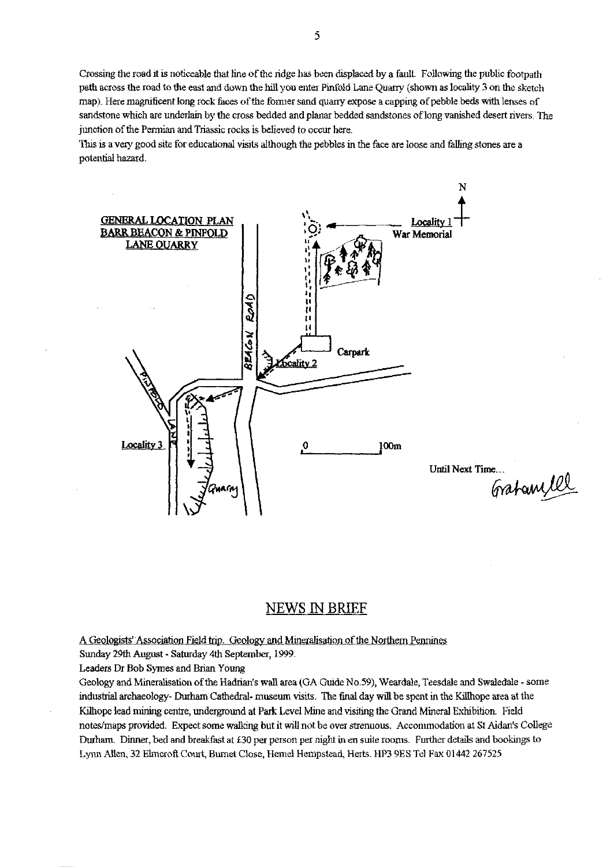Crossing the road it is noticeable that line of the ridge has been displaced by a fault. Following the public footpath path across the road to the east and down the hilt you enter Pirtfold Lane Quarry (shown as locality 3 on the sketch map) Here magnificent long rock faces of the former sand *quarry* expose a capping of pebble beds with lenses of sandstone which are underlain by the cross bedded and planar bedded sandstones of long vanished desert rivers. The junction of the Permian and Triassic rocks is believed to occur here.

This is a very good site *for* educational visits although the pebbles in the face are loose and falling stones are a potential hazard.



# NEWS IN BRIEF

A Geologists' Association Field trip. Geology and Mineralisation of the Northern Pennines

Sunday 29th August - Saturday 4th September, 1999.

Leaders Dr Bob Symes and Brian Young

Geology and Mineralisation of the Hadrian's wall area (GA Guide No.59), Weardale, Teesdale and Swaledale - some industrial archaeology- Durham Cathedral- museum visits. The final day will be spent in the Killhope area at the Kilhope lead mining centre, underground at Park Level Mine and visiting the Grand Mineral Exhibition. Field notes/maps provided. Expect some walking but it will not be over strenuous. Accommodation at St Aidan's College Durham. Dinner, bed and breakfast at £30 per person per night in en suite rooms. Further details and bookings to Lynn Allen, 32 Elmeroft Court, Burnet Close, Hemel Hempstead, Herts. HP3 9ES Tel Fax 01442 267525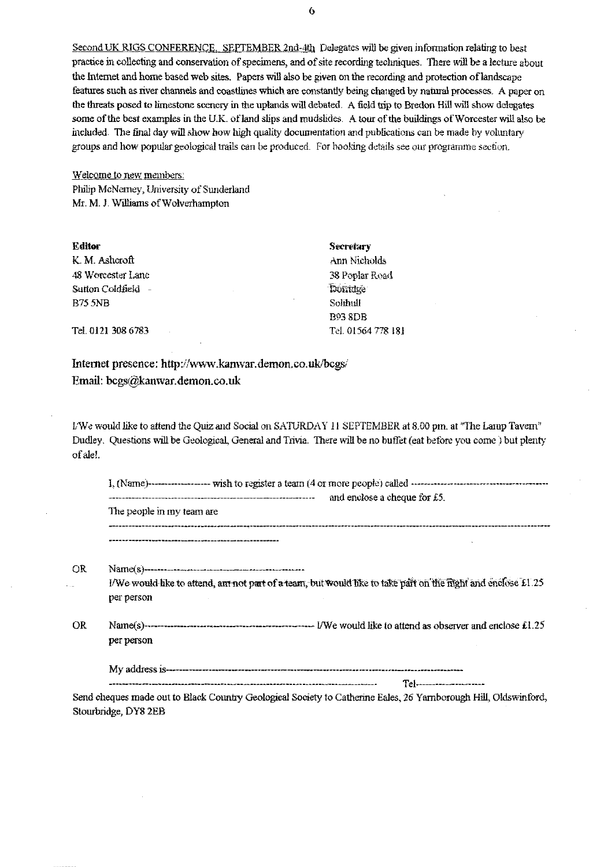Second UK RIGS CONFERENCE, SEPTEMBER 2nd-4th Delegates will be given information relating to best practice in collecting and conservation of specimens, and of site recording techniques. There will be a lecture about the Internet and home based web sites. Papers will also be given on the recording and protection of landscape features such as river channels and coastlines which are constantly being changed by natural processes. A paper on the threats posed to limestone scenery in the uplands will debated. A field trip to Bredon Hill will show delegates some of the best examples in the U.K. of land slips and mudslides. A tour of the buildings of Worcester will also be included. The final day will show how high quality documentation and publications can be made by voluntary groups and how popular geological trails can be produced. For booking details see our programme section.

Welcome to new members: Philip McNerney, University of Sunderland Mr. M. J. Williams of Wolverhampton

| Editor             | Secretary          |
|--------------------|--------------------|
| K. M. Ashcroft     | Ann Nicholds       |
| 48 Worcester Lane  | 38 Poplar Road     |
| Sutton Coldfield - | Donidge            |
| <b>B75 5NB</b>     | Solihull           |
|                    | <b>B93 8DB</b>     |
| Tel. 0121 308 6783 | Tel. 01564 778 181 |

Internet presence: http://www.kanwar.demon.co.uk/bcgs/ Email: bcgs@kanwar.demon.co.uk

L'We would like to attend the Quiz and Social on SATURDAY 11 SEPTEMBER at 8.00 pm, at "The Lamp Tavern" Dudley. Questions will be Geological, General and Trivia. There will be no buffet (eat before you come ) but plenty of ale!.

|     | and enclose a cheque for £5.                                                                                                            |
|-----|-----------------------------------------------------------------------------------------------------------------------------------------|
|     | The people in my team are                                                                                                               |
|     |                                                                                                                                         |
| OR  |                                                                                                                                         |
|     | I/We would like to attend, ant not part of a team, but would like to take part on the fight and enclose £1.25<br>per person             |
| OR. | per person                                                                                                                              |
|     | Tel---------------------                                                                                                                |
|     | Send cheques made out to Black Country Geological Society to Catherine Eales, 26 Yarnborough Hill, Oldswinford,<br>Stourbridge, DY8 2EB |

 $\ddot{\mathbf{0}}$